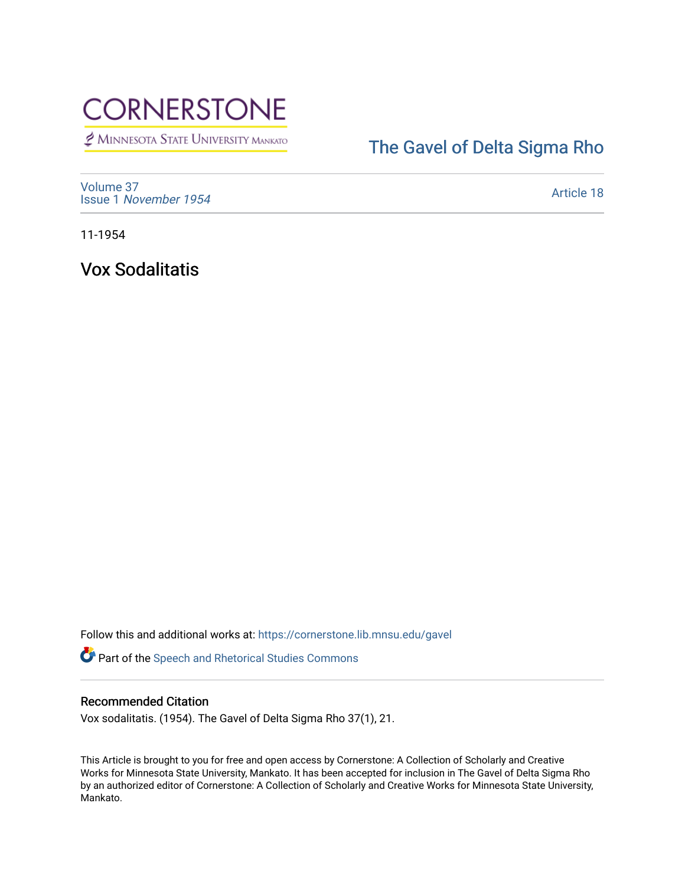# **CORNERSTONE**

MINNESOTA STATE UNIVERSITY MANKATO

# [The Gavel of Delta Sigma Rho](https://cornerstone.lib.mnsu.edu/gavel)

[Volume 37](https://cornerstone.lib.mnsu.edu/gavel/vol37) Issue 1 [November 1954](https://cornerstone.lib.mnsu.edu/gavel/vol37/iss1) 

[Article 18](https://cornerstone.lib.mnsu.edu/gavel/vol37/iss1/18) 

11-1954

Vox Sodalitatis

Follow this and additional works at: [https://cornerstone.lib.mnsu.edu/gavel](https://cornerstone.lib.mnsu.edu/gavel?utm_source=cornerstone.lib.mnsu.edu%2Fgavel%2Fvol37%2Fiss1%2F18&utm_medium=PDF&utm_campaign=PDFCoverPages) 

Part of the [Speech and Rhetorical Studies Commons](http://network.bepress.com/hgg/discipline/338?utm_source=cornerstone.lib.mnsu.edu%2Fgavel%2Fvol37%2Fiss1%2F18&utm_medium=PDF&utm_campaign=PDFCoverPages) 

### Recommended Citation

Vox sodalitatis. (1954). The Gavel of Delta Sigma Rho 37(1), 21.

This Article is brought to you for free and open access by Cornerstone: A Collection of Scholarly and Creative Works for Minnesota State University, Mankato. It has been accepted for inclusion in The Gavel of Delta Sigma Rho by an authorized editor of Cornerstone: A Collection of Scholarly and Creative Works for Minnesota State University, Mankato.